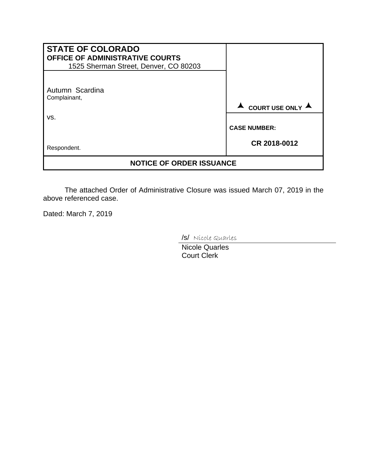| <b>STATE OF COLORADO</b><br>OFFICE OF ADMINISTRATIVE COURTS<br>1525 Sherman Street, Denver, CO 80203 |                                     |
|------------------------------------------------------------------------------------------------------|-------------------------------------|
| Autumn Scardina<br>Complainant,                                                                      | COURT USE ONLY A                    |
| VS.                                                                                                  | <b>CASE NUMBER:</b><br>CR 2018-0012 |
| Respondent.<br><b>NOTICE OF ORDER ISSUANCE</b>                                                       |                                     |

The attached Order of Administrative Closure was issued March 07, 2019 in the above referenced case.

Dated: March 7, 2019

/s/ Nicole Quarles

Nicole Quarles Court Clerk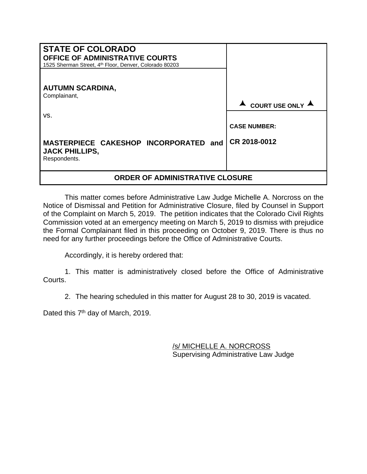| <b>STATE OF COLORADO</b><br><b>OFFICE OF ADMINISTRATIVE COURTS</b><br>1525 Sherman Street, 4th Floor, Denver, Colorado 80203 |                     |
|------------------------------------------------------------------------------------------------------------------------------|---------------------|
| <b>AUTUMN SCARDINA,</b><br>Complainant,                                                                                      | COURT USE ONLY A    |
| VS.                                                                                                                          | <b>CASE NUMBER:</b> |
| MASTERPIECE CAKESHOP INCORPORATED and<br><b>JACK PHILLIPS,</b><br>Respondents.                                               | CR 2018-0012        |
| ORDER OF ADMINISTRATIVE CLOSURE                                                                                              |                     |

This matter comes before Administrative Law Judge Michelle A. Norcross on the Notice of Dismissal and Petition for Administrative Closure, filed by Counsel in Support of the Complaint on March 5, 2019. The petition indicates that the Colorado Civil Rights Commission voted at an emergency meeting on March 5, 2019 to dismiss with prejudice the Formal Complainant filed in this proceeding on October 9, 2019. There is thus no need for any further proceedings before the Office of Administrative Courts.

Accordingly, it is hereby ordered that:

1. This matter is administratively closed before the Office of Administrative Courts.

2. The hearing scheduled in this matter for August 28 to 30, 2019 is vacated.

Dated this 7<sup>th</sup> day of March, 2019.

/s/ MICHELLE A. NORCROSS Supervising Administrative Law Judge